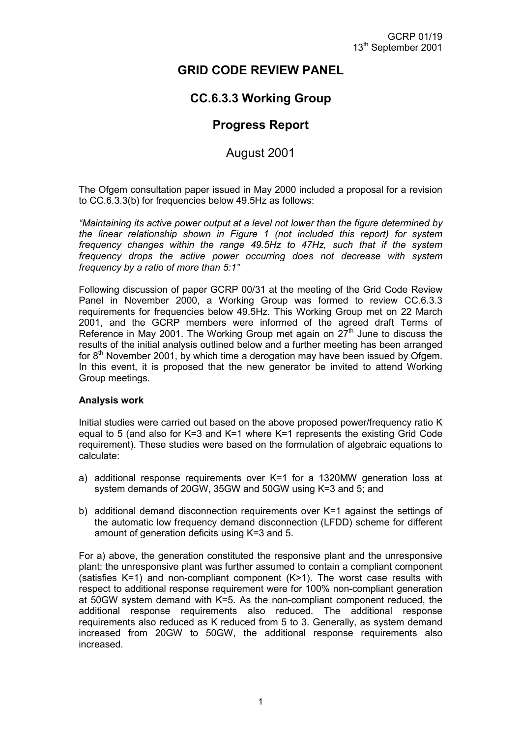# **GRID CODE REVIEW PANEL**

# **CC.6.3.3 Working Group**

## **Progress Report**

### August 2001

The Ofgem consultation paper issued in May 2000 included a proposal for a revision to CC.6.3.3(b) for frequencies below 49.5Hz as follows:

*"Maintaining its active power output at a level not lower than the figure determined by the linear relationship shown in Figure 1 (not included this report) for system frequency changes within the range 49.5Hz to 47Hz, such that if the system frequency drops the active power occurring does not decrease with system frequency by a ratio of more than 5:1"*

Following discussion of paper GCRP 00/31 at the meeting of the Grid Code Review Panel in November 2000, a Working Group was formed to review CC.6.3.3 requirements for frequencies below 49.5Hz. This Working Group met on 22 March 2001, and the GCRP members were informed of the agreed draft Terms of Reference in May 2001. The Working Group met again on  $27<sup>th</sup>$  June to discuss the results of the initial analysis outlined below and a further meeting has been arranged for  $8<sup>th</sup>$  November 2001, by which time a derogation may have been issued by Ofgem. In this event, it is proposed that the new generator be invited to attend Working Group meetings.

#### **Analysis work**

Initial studies were carried out based on the above proposed power/frequency ratio K equal to 5 (and also for K=3 and K=1 where K=1 represents the existing Grid Code requirement). These studies were based on the formulation of algebraic equations to calculate:

- a) additional response requirements over K=1 for a 1320MW generation loss at system demands of 20GW, 35GW and 50GW using K=3 and 5; and
- b) additional demand disconnection requirements over K=1 against the settings of the automatic low frequency demand disconnection (LFDD) scheme for different amount of generation deficits using K=3 and 5.

For a) above, the generation constituted the responsive plant and the unresponsive plant; the unresponsive plant was further assumed to contain a compliant component (satisfies  $K=1$ ) and non-compliant component  $(K>1)$ . The worst case results with respect to additional response requirement were for 100% non-compliant generation at 50GW system demand with K=5. As the non-compliant component reduced, the additional response requirements also reduced. The additional response requirements also reduced as K reduced from 5 to 3. Generally, as system demand increased from 20GW to 50GW, the additional response requirements also increased.